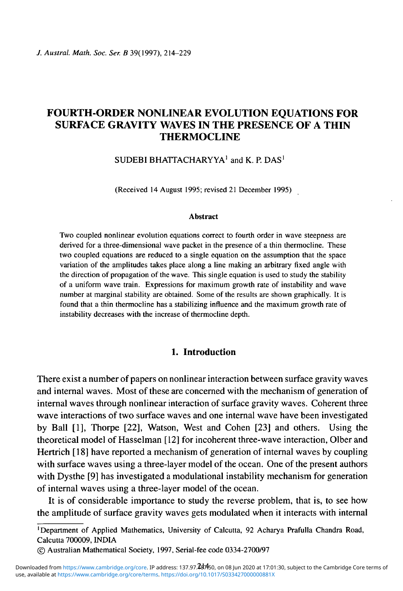# FOURTH-ORDER NONLINEAR EVOLUTION EQUATIONS FOR SURFACE GRAVITY WAVES IN THE PRESENCE OF A THIN **THERMOCLINE**

SUDEBI BHATTACHARYYA<sup>1</sup> and K. P. DAS<sup>1</sup>

(Received 14 August 1995; revised 21 December 1995)

#### **Abstract**

Two coupled nonlinear evolution equations correct to fourth order in wave steepness are derived for a three-dimensional wave packet in the presence of a thin thermocline. These two coupled equations are reduced to a single equation on the assumption that the space variation of the amplitudes takes place along a line making an arbitrary fixed angle with the direction of propagation of the wave. This single equation is used to study the stability of a uniform wave train. Expressions for maximum growth rate of instability and wave number at marginal stability are obtained. Some of the results are shown graphically. It is found that a thin thermocline has a stabilizing influence and the maximum growth rate of instability decreases with the increase of thermocline depth.

## **1. Introduction**

There exist a number of papers on nonlinear interaction between surface gravity waves and internal waves. Most of these are concerned with the mechanism of generation of internal waves through nonlinear interaction of surface gravity waves. Coherent three wave interactions of two surface waves and one internal wave have been investigated by Ball [1], Thorpe [22], Watson, West and Cohen [23] and others. Using the theoretical model of Hasselman [12] for incoherent three-wave interaction, Olber and Hertrich [18] have reported a mechanism of generation of internal waves by coupling with surface waves using a three-layer model of the ocean. One of the present authors with Dysthe [9] has investigated a modulational instability mechanism for generation of internal waves using a three-layer model of the ocean.

It is of considerable importance to study the reverse problem, that is, to see how the amplitude of surface gravity waves gets modulated when it interacts with internal

<sup>&#</sup>x27;Department of Applied Mathematics, University of Calcutta, 92 Acharya Prafulla Chandra Road, Calcutta 700009, INDIA

<sup>©</sup> Australian Mathematical Society, 1997, Serial-fee code 0334-2700/97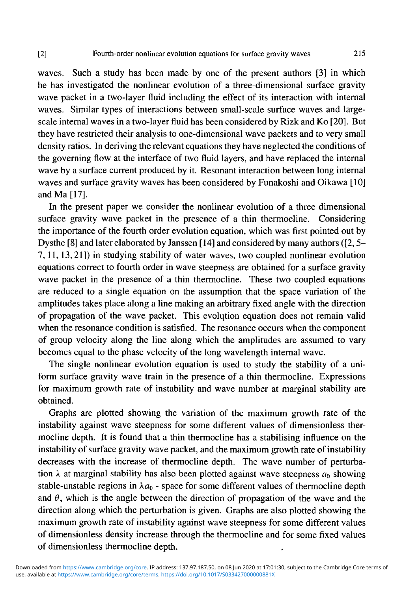waves. Such a study has been made by one of the present authors [3] in which he has investigated the nonlinear evolution of a three-dimensional surface gravity wave packet in a two-layer fluid including the effect of its interaction with internal waves. Similar types of interactions between small-scale surface waves and largescale internal waves in a two-layer fluid has been considered by Rizk and Ko [20]. But they have restricted their analysis to one-dimensional wave packets and to very small density ratios. In deriving the relevant equations they have neglected the conditions of the governing flow at the interface of two fluid layers, and have replaced the internal wave by a surface current produced by it. Resonant interaction between long internal waves and surface gravity waves has been considered by Funakoshi and Oikawa [10] and Ma [17].

In the present paper we consider the nonlinear evolution of a three dimensional surface gravity wave packet in the presence of a thin thermocline. Considering the importance of the fourth order evolution equation, which was first pointed out by Dysthe [8] and later elaborated by Janssen [14] and considered by many authors ([2,5- 7,11,13,21]) in studying stability of water waves, two coupled nonlinear evolution equations correct to fourth order in wave steepness are obtained for a surface gravity wave packet in the presence of a thin thermocline. These two coupled equations are reduced to a single equation on the assumption that the space variation of the amplitudes takes place along a line making an arbitrary fixed angle with the direction of propagation of the wave packet. This evolution equation does not remain valid when the resonance condition is satisfied. The resonance occurs when the component of group velocity along the line along which the amplitudes are assumed to vary becomes equal to the phase velocity of the long wavelength internal wave.

The single nonlinear evolution equation is used to study the stability of a uniform surface gravity wave train in the presence of a thin thermocline. Expressions for maximum growth rate of instability and wave number at marginal stability are obtained.

Graphs are plotted showing the variation of the maximum growth rate of the instability against wave steepness for some different values of dimensionless thermocline depth. It is found that a thin thermocline has a stabilising influence on the instability of surface gravity wave packet, and the maximum growth rate of instability decreases with the increase of thermocline depth. The wave number of perturbation  $\lambda$  at marginal stability has also been plotted against wave steepness  $a_0$  showing stable-unstable regions in  $\lambda a_0$  - space for some different values of thermocline depth and  $\theta$ , which is the angle between the direction of propagation of the wave and the direction along which the perturbation is given. Graphs are also plotted showing the maximum growth rate of instability against wave steepness for some different values of dimensionless density increase through the thermocline and for some fixed values of dimensionless thermocline depth.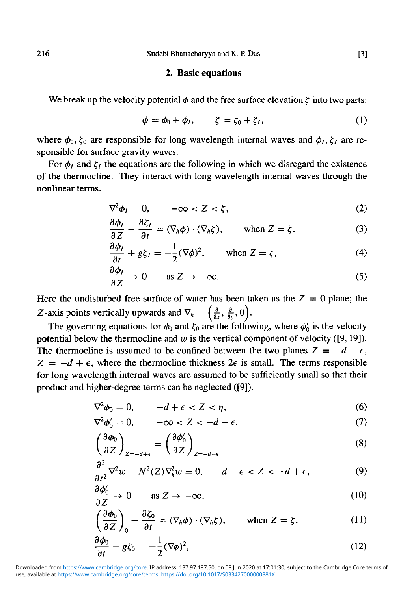### **2. Basic equations**

We break up the velocity potential  $\phi$  and the free surface elevation  $\zeta$  into two parts:

$$
\phi = \phi_0 + \phi_I, \qquad \zeta = \zeta_0 + \zeta_I, \tag{1}
$$

where  $\phi_0$ ,  $\zeta_0$  are responsible for long wavelength internal waves and  $\phi_i$ ,  $\zeta_i$  are responsible for surface gravity waves.

For  $\phi_l$  and  $\zeta_l$  the equations are the following in which we disregard the existence of the thermocline. They interact with long wavelength internal waves through the nonlinear terms.

$$
\nabla^2 \phi_I = 0, \qquad -\infty < Z < \zeta,\tag{2}
$$

$$
\frac{\partial \phi_I}{\partial Z} - \frac{\partial \zeta_I}{\partial t} = (\nabla_h \phi) \cdot (\nabla_h \zeta), \qquad \text{when } Z = \zeta,
$$
 (3)

$$
\frac{\partial \phi_I}{\partial t} + g \zeta_I = -\frac{1}{2} (\nabla \phi)^2, \quad \text{when } Z = \zeta,
$$
 (4)

$$
\frac{\partial \phi_I}{\partial Z} \to 0 \qquad \text{as } Z \to -\infty. \tag{5}
$$

Here the undisturbed free surface of water has been taken as the  $Z = 0$  plane; the Z-axis points vertically upwards and  $\nabla_h = \left(\frac{\partial}{\partial x}, \frac{\partial}{\partial y}, 0 \right)$ .

The governing equations for  $\phi_0$  and  $\zeta_0$  are the following, where  $\phi'_0$  is the velocity potential below the thermocline and *w* is the vertical component of velocity ([9,19]). The thermocline is assumed to be confined between the two planes  $Z = -d - \epsilon$ ,  $Z = -d + \epsilon$ , where the thermocline thickness  $2\epsilon$  is small. The terms responsible for long wavelength internal waves are assumed to be sufficiently small so that their product and higher-degree terms can be neglected ([9]).

$$
\nabla^2 \phi_0 = 0, \qquad -d + \epsilon < Z < \eta,\tag{6}
$$

$$
\nabla^2 \phi'_0 = 0, \qquad -\infty < Z < -d - \epsilon,\tag{7}
$$

$$
\left(\frac{\partial \phi_0}{\partial Z}\right)_{Z=-d+\epsilon} = \left(\frac{\partial \phi'_0}{\partial Z}\right)_{Z=-d-\epsilon}
$$
\n(8)

$$
\frac{\partial^2}{\partial t^2} \nabla^2 w + N^2(Z) \nabla_h^2 w = 0, \quad -d - \epsilon < Z < -d + \epsilon,\tag{9}
$$

$$
\frac{\partial \phi_0'}{\partial Z} \to 0 \qquad \text{as } Z \to -\infty,
$$
 (10)

$$
\left(\frac{\partial \phi_0}{\partial Z}\right)_0 - \frac{\partial \zeta_0}{\partial t} = (\nabla_h \phi) \cdot (\nabla_h \zeta), \qquad \text{when } Z = \zeta,
$$
\n(11)

$$
\frac{\partial \phi_0}{\partial t} + g\zeta_0 = -\frac{1}{2}(\nabla\phi)^2,\tag{12}
$$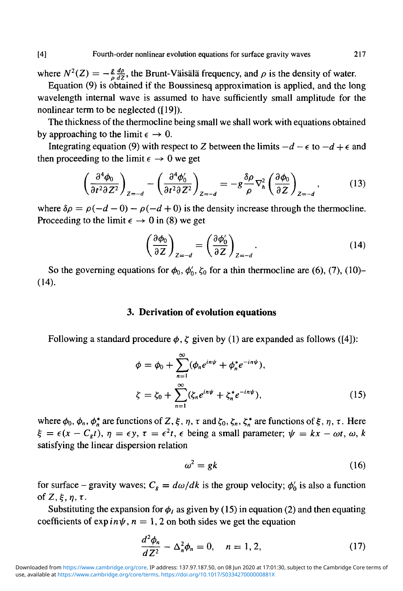where  $N^2(Z) = -\frac{g}{a}\frac{d\rho}{d\zeta}$ , the Brunt-Väisälä frequency, and  $\rho$  is the density of water.

Equation (9) is obtained if the Boussinesq approximation is applied, and the long wavelength internal wave is assumed to have sufficiently small amplitude for the nonlinear term to be neglected ([19]).

The thickness of the thermocline being small we shall work with equations obtained by approaching to the limit  $\epsilon \to 0$ .

Integrating equation (9) with respect to Z between the limits  $-d - \epsilon$  to  $-d + \epsilon$  and then proceeding to the limit  $\epsilon \rightarrow 0$  we get

$$
\left(\frac{\partial^4 \phi_0}{\partial t^2 \partial Z^2}\right)_{Z=-d} - \left(\frac{\partial^4 \phi'_0}{\partial t^2 \partial Z^2}\right)_{Z=-d} = -g \frac{\delta \rho}{\rho} \nabla_h^2 \left(\frac{\partial \phi_0}{\partial Z}\right)_{Z=-d},\tag{13}
$$

where  $\delta \rho = \rho(-d-0) - \rho(-d+0)$  is the density increase through the thermocline. Proceeding to the limit  $\epsilon \rightarrow 0$  in (8) we get

$$
\left(\frac{\partial \phi_0}{\partial Z}\right)_{Z=-d} = \left(\frac{\partial \phi'_0}{\partial Z}\right)_{Z=-d}.
$$
\n(14)

So the governing equations for  $\phi_0$ ,  $\phi'_0$ ,  $\zeta_0$  for a thin thermocline are (6), (7), (10)-(14).

#### **3. Derivation of evolution equations**

Following a standard procedure  $\phi$ ,  $\zeta$  given by (1) are expanded as follows ([4]):

$$
\phi = \phi_0 + \sum_{n=1}^{\infty} (\phi_n e^{in\psi} + \phi_n^* e^{-in\psi}),
$$
  

$$
\zeta = \zeta_0 + \sum_{n=1}^{\infty} (\zeta_n e^{in\psi} + \zeta_n^* e^{-in\psi}),
$$
 (15)

where  $\phi_0$ ,  $\phi_n$ ,  $\phi_n^*$  are functions of Z,  $\xi$ ,  $\eta$ ,  $\tau$  and  $\zeta_0$ ,  $\zeta_n$ ,  $\zeta_n^*$  are functions of  $\xi$ ,  $\eta$ ,  $\tau$ . Here  $\xi = \epsilon(x - C_g t), \eta = \epsilon y, \tau = \epsilon^2 t, \epsilon$  being a small parameter;  $\psi = kx - \omega t, \omega, k$ satisfying the linear dispersion relation

$$
\omega^2 = gk \tag{16}
$$

for surface - gravity waves;  $C_g = d\omega/dk$  is the group velocity;  $\phi'_0$  is also a function of  $Z, \xi, \eta, \tau$ .

Substituting the expansion for  $\phi_l$  as given by (15) in equation (2) and then equating coefficients of  $\exp in\psi$ ,  $n = 1, 2$  on both sides we get the equation

$$
\frac{d^2\phi_n}{dZ^2} - \Delta_n^2 \phi_n = 0, \quad n = 1, 2,
$$
 (17)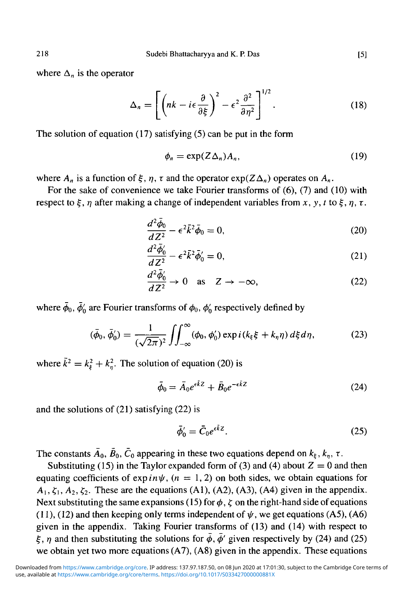where  $\Delta_n$  is the operator

$$
\Delta_n = \left[ \left( nk - i\epsilon \frac{\partial}{\partial \xi} \right)^2 - \epsilon^2 \frac{\partial^2}{\partial \eta^2} \right]^{1/2} . \tag{18}
$$

The solution of equation (17) satisfying (5) can be put in the form

$$
\phi_n = \exp(Z\Delta_n)A_n,\tag{19}
$$

where  $A_n$  is a function of  $\xi$ ,  $\eta$ ,  $\tau$  and the operator  $\exp(Z\Delta_n)$  operates on  $A_n$ .

For the sake of convenience we take Fourier transforms of (6), (7) and (10) with respect to  $\xi$ ,  $\eta$  after making a change of independent variables from x, y, t to  $\xi$ ,  $\eta$ ,  $\tau$ .

$$
\frac{d^2\bar{\phi}_0}{dZ^2} - \epsilon^2 \bar{k}^2 \bar{\phi}_0 = 0, \qquad (20)
$$

$$
\frac{d^2\bar{\phi}_0'}{dZ^2} - \epsilon^2 \bar{k}^2 \bar{\phi}_0' = 0,\tag{21}
$$

$$
\frac{d^2\bar{\phi}'_0}{dZ^2} \to 0 \quad \text{as} \quad Z \to -\infty,
$$
 (22)

where  $\bar{\phi}_0$ ,  $\bar{\phi}'_0$  are Fourier transforms of  $\phi_0$ ,  $\phi'_0$  respectively defined by

$$
(\bar{\phi}_0, \bar{\phi}'_0) = \frac{1}{(\sqrt{2\pi})^2} \iint_{-\infty}^{\infty} (\phi_0, \phi'_0) \exp(i(k_{\xi}\xi + k_{\eta}\eta) d\xi d\eta, \tag{23}
$$

where  $\bar{k}^2 = k_{\bar{k}}^2 + k_{\bar{n}}^2$ . The solution of equation (20) is

$$
\bar{\phi}_0 = \bar{A}_0 e^{\epsilon \bar{k} Z} + \bar{B}_0 e^{-\epsilon \bar{k} Z} \tag{24}
$$

and the solutions of (21) satisfying (22) is

$$
\bar{\phi}'_0 = \bar{C}_0 e^{\epsilon \bar{k} Z}.
$$
\n(25)

The constants  $\bar{A}_0$ ,  $\bar{B}_0$ ,  $\bar{C}_0$  appearing in these two equations depend on  $k_\xi$ ,  $k_\eta$ ,  $\tau$ .

Substituting (15) in the Taylor expanded form of (3) and (4) about  $Z = 0$  and then equating coefficients of expin $\psi$ , (n = 1, 2) on both sides, we obtain equations for  $A_1, \zeta_1, A_2, \zeta_2$ . These are the equations (A1), (A2), (A3), (A4) given in the appendix. Next substituting the same expansions (15) for  $\phi$ ,  $\zeta$  on the right-hand side of equations (11), (12) and then keeping only terms independent of  $\psi$ , we get equations (A5), (A6) given in the appendix. Taking Fourier transforms of (13) and (14) with respect to  $\xi$ ,  $\eta$  and then substituting the solutions for  $\bar{\phi}$ ,  $\bar{\phi}'$  given respectively by (24) and (25) we obtain yet two more equations (A7), (A8) given in the appendix. These equations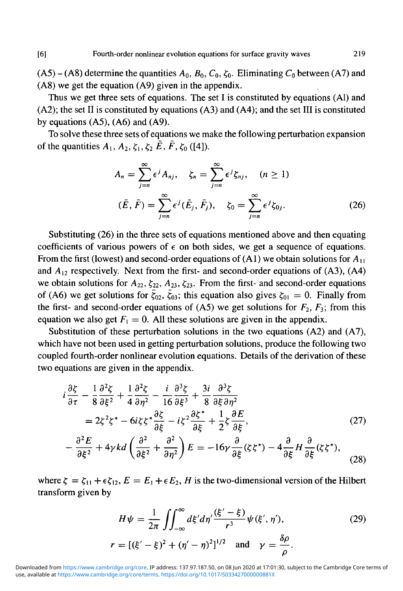$(A5) - (A8)$  determine the quantities  $A_0$ ,  $B_0$ ,  $C_0$ ,  $\zeta_0$ . Eliminating  $C_0$  between (A7) and (A8) we get the equation (A9) given in the appendix.

Thus we get three sets of equations. The set I is constituted by equations (Al) and (A2); the set II is constituted by equations (A3) and (A4); and the set III is constituted by equations  $(A5)$ ,  $(A6)$  and  $(A9)$ .

To solve these three sets of equations we make the following perturbation expansion of the quantities  $A_1, A_2, \zeta_1, \zeta_2 \bar{E}, \bar{F}, \zeta_0$  ([4]).

$$
A_n = \sum_{j=n}^{\infty} \epsilon^j A_{nj}, \quad \zeta_n = \sum_{j=n}^{\infty} \epsilon^j \zeta_{nj}, \quad (n \ge 1)
$$
  

$$
(\bar{E}, \bar{F}) = \sum_{j=n}^{\infty} \epsilon^j (\bar{E}_j, \bar{F}_j), \quad \zeta_0 = \sum_{j=n}^{\infty} \epsilon^j \zeta_{0j}.
$$
 (26)

Substituting (26) in the three sets of equations mentioned above and then equating coefficients of various powers of  $\epsilon$  on both sides, we get a sequence of equations. From the first (lowest) and second-order equations of (Al) we obtain solutions for *A\*, and  $A_{12}$  respectively. Next from the first- and second-order equations of (A3), (A4) we obtain solutions for  $A_{22}$ ,  $\zeta_{22}$ ,  $A_{23}$ ,  $\zeta_{23}$ . From the first- and second-order equations of (A6) we get solutions for  $\bar{\zeta}_{02}$ ,  $\bar{\zeta}_{03}$ ; this equation also gives  $\zeta_{01} = 0$ . Finally from the first- and second-order equations of  $(AS)$  we get solutions for  $F_2$ ,  $F_3$ ; from this equation we also get  $F_1 = 0$ . All these solutions are given in the appendix.

Substitution of these perturbation solutions in the two equations (A2) and (A7), which have not been used in getting perturbation solutions, produce the following two coupled fourth-order nonlinear evolution equations. Details of the derivation of these two equations are given in the appendix.

$$
i\frac{\partial \zeta}{\partial \tau} - \frac{1}{8} \frac{\partial^2 \zeta}{\partial \xi^2} + \frac{1}{4} \frac{\partial^2 \zeta}{\partial \eta^2} - \frac{i}{16} \frac{\partial^3 \zeta}{\partial \xi^3} + \frac{3i}{8} \frac{\partial^3 \zeta}{\partial \xi \partial \eta^2}
$$
  
=  $2\zeta^2 \zeta^* - 6i\zeta \zeta^* \frac{\partial \zeta}{\partial \xi} - i\zeta^2 \frac{\partial \zeta^*}{\partial \xi} + \frac{1}{2} \zeta \frac{\partial E}{\partial \xi}$ , (27)

$$
-\frac{\partial^2 E}{\partial \xi^2} + 4\gamma k d \left(\frac{\partial^2}{\partial \xi^2} + \frac{\partial^2}{\partial \eta^2}\right) E = -16\gamma \frac{\partial}{\partial \xi} (\zeta \zeta^*) - 4\frac{\partial}{\partial \xi} H \frac{\partial}{\partial \xi} (\zeta \zeta^*),\tag{28}
$$

where  $\zeta = \zeta_{11} + \epsilon \zeta_{12}$ ,  $E = E_1 + \epsilon E_2$ , *H* is the two-dimensional version of the Hilbert transform given by

$$
H\psi = \frac{1}{2\pi} \iint_{-\infty}^{\infty} d\xi' d\eta' \frac{(\xi' - \xi)}{r^3} \psi(\xi', \eta'),
$$
 (29)  
=  $[(\xi' - \xi)^2 + (\eta' - \eta)^2]^{1/2}$  and  $\gamma = \frac{\delta\rho}{\rho}.$ 

use, available at <https://www.cambridge.org/core/terms>.<https://doi.org/10.1017/S033427000000881X> Downloaded from [https://www.cambridge.org/core.](https://www.cambridge.org/core) IP address: 137.97.187.50, on 08 Jun 2020 at 17:01:30, subject to the Cambridge Core terms of

I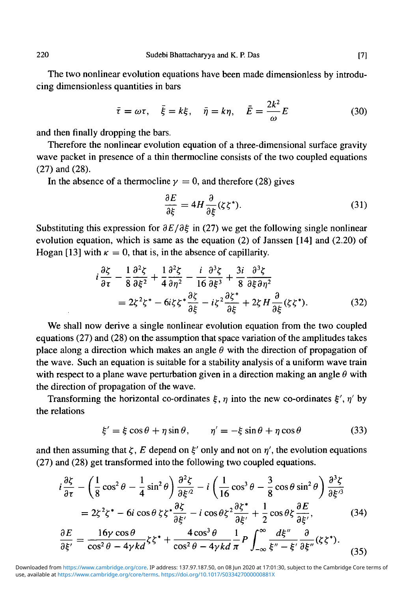The two nonlinear evolution equations have been made dimensionless by introducing dimensionless quantities in bars

$$
\bar{\tau} = \omega \tau, \quad \bar{\xi} = k \xi, \quad \bar{\eta} = k \eta, \quad \bar{E} = \frac{2k^2}{\omega} E
$$
\n(30)

and then finally dropping the bars.

Therefore the nonlinear evolution equation of a three-dimensional surface gravity wave packet in presence of a thin thermocline consists of the two coupled equations (27) and (28).

In the absence of a thermocline  $y = 0$ , and therefore (28) gives

$$
\frac{\partial E}{\partial \xi} = 4H \frac{\partial}{\partial \xi} (\zeta \zeta^*). \tag{31}
$$

Substituting this expression for  $\partial E/\partial \xi$  in (27) we get the following single nonlinear evolution equation, which is same as the equation (2) of Janssen [14] and (2.20) of Hogan [13] with  $\kappa = 0$ , that is, in the absence of capillarity.

$$
i\frac{\partial \zeta}{\partial \tau} - \frac{1}{8} \frac{\partial^2 \zeta}{\partial \xi^2} + \frac{1}{4} \frac{\partial^2 \zeta}{\partial \eta^2} - \frac{i}{16} \frac{\partial^3 \zeta}{\partial \xi^3} + \frac{3i}{8} \frac{\partial^3 \zeta}{\partial \xi \partial \eta^2}
$$
  
=  $2\zeta^2 \zeta^* - 6i\zeta \zeta^* \frac{\partial \zeta}{\partial \xi} - i\zeta^2 \frac{\partial \zeta^*}{\partial \xi} + 2\zeta H \frac{\partial}{\partial \xi} (\zeta \zeta^*).$  (32)

We shall now derive a single nonlinear evolution equation from the two coupled equations (27) and (28) on the assumption that space variation of the amplitudes takes place along a direction which makes an angle  $\theta$  with the direction of propagation of the wave. Such an equation is suitable for a stability analysis of a uniform wave train with respect to a plane wave perturbation given in a direction making an angle  $\theta$  with the direction of propagation of the wave.

Transforming the horizontal co-ordinates  $\xi$ ,  $\eta$  into the new co-ordinates  $\xi'$ ,  $\eta'$  by the relations

$$
\xi' = \xi \cos \theta + \eta \sin \theta, \qquad \eta' = -\xi \sin \theta + \eta \cos \theta \tag{33}
$$

and then assuming that  $\zeta$ , E depend on  $\xi'$  only and not on  $\eta'$ , the evolution equations (27) and (28) get transformed into the following two coupled equations.

$$
i\frac{\partial \zeta}{\partial \tau} - \left(\frac{1}{8}\cos^2\theta - \frac{1}{4}\sin^2\theta\right)\frac{\partial^2 \zeta}{\partial \xi'^2} - i\left(\frac{1}{16}\cos^3\theta - \frac{3}{8}\cos\theta\sin^2\theta\right)\frac{\partial^3 \zeta}{\partial \xi'^3}
$$
  
=  $2\zeta^2 \zeta^* - 6i\cos\theta \zeta \zeta^* \frac{\partial \zeta}{\partial \xi'} - i\cos\theta \zeta^2 \frac{\partial \zeta^*}{\partial \xi'} + \frac{1}{2}\cos\theta \zeta \frac{\partial E}{\partial \xi'},$  (34)  

$$
\frac{\partial E}{\partial \xi'} = \frac{16\gamma \cos\theta}{\cos^2\theta - 4\gamma kd} \zeta \zeta^* + \frac{4\cos^3\theta}{\cos^2\theta - 4\gamma kd} \frac{1}{\pi} P \int_{-\infty}^{\infty} \frac{d\xi''}{\xi'' - \xi'} \frac{\partial}{\partial \xi''} (\zeta \zeta^*).
$$
 (35)

use, available at <https://www.cambridge.org/core/terms>.<https://doi.org/10.1017/S033427000000881X> Downloaded from [https://www.cambridge.org/core.](https://www.cambridge.org/core) IP address: 137.97.187.50, on 08 Jun 2020 at 17:01:30, subject to the Cambridge Core terms of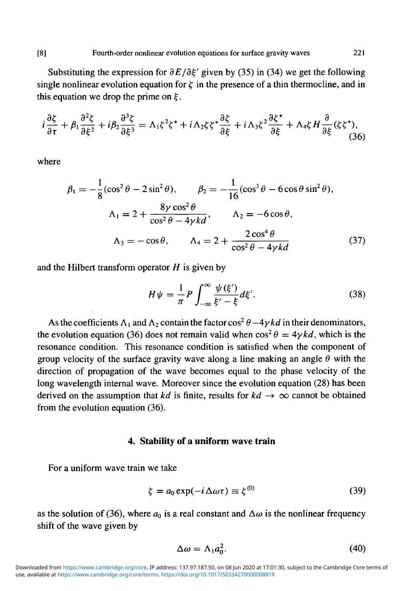Substituting the expression for  $\partial E/\partial \xi'$  given by (35) in (34) we get the following single nonlinear evolution equation for  $\zeta$  in the presence of a thin thermocline, and in this equation we drop the prime on  $\xi$ .

$$
i\frac{\partial \zeta}{\partial \tau} + \beta_1 \frac{\partial^2 \zeta}{\partial \xi^2} + i\beta_2 \frac{\partial^3 \zeta}{\partial \xi^3} = \Lambda_1 \zeta^2 \zeta^* + i\Lambda_2 \zeta \zeta^* \frac{\partial \zeta}{\partial \xi} + i\Lambda_3 \zeta^2 \frac{\partial \zeta^*}{\partial \xi} + \Lambda_4 \zeta H \frac{\partial}{\partial \xi} (\zeta \zeta^*),
$$
(36)

where

$$
\beta_1 = -\frac{1}{8}(\cos^2\theta - 2\sin^2\theta), \qquad \beta_2 = -\frac{1}{16}(\cos^3\theta - 6\cos\theta\sin^2\theta),
$$
  

$$
\Lambda_1 = 2 + \frac{8\gamma\cos^2\theta}{\cos^2\theta - 4\gamma kd}, \qquad \Lambda_2 = -6\cos\theta,
$$
  

$$
\Lambda_3 = -\cos\theta, \qquad \Lambda_4 = 2 + \frac{2\cos^4\theta}{\cos^2\theta - 4\gamma kd}
$$
(37)

and the Hilbert transform operator *H* is given by

$$
H\psi = \frac{1}{\pi}P\int_{-\infty}^{\infty}\frac{\psi(\xi')}{\xi'-\xi}d\xi'.
$$
 (38)

As the coefficients  $\Lambda_1$  and  $\Lambda_2$  contain the factor cos<sup>2</sup>  $\theta$  -4 $\gamma$ *kd* in their denominators, the evolution equation (36) does not remain valid when  $\cos^2 \theta = 4\gamma k d$ , which is the resonance condition. This resonance condition is satisfied when the component of group velocity of the surface gravity wave along a line making an angle  $\theta$  with the direction of propagation of the wave becomes equal to the phase velocity of the long wavelength internal wave. Moreover since the evolution equation (28) has been derived on the assumption that *kd* is finite, results for  $kd \rightarrow \infty$  cannot be obtained from the evolution equation (36).

#### **4. Stability of a uniform wave train**

For a uniform wave train we take

$$
\zeta = a_0 \exp(-i\Delta\omega\tau) \equiv \zeta^{(0)} \tag{39}
$$

as the solution of (36), where  $a_0$  is a real constant and  $\Delta\omega$  is the nonlinear frequency shift of the wave given by

$$
\Delta \omega = \Lambda_1 a_0^2. \tag{40}
$$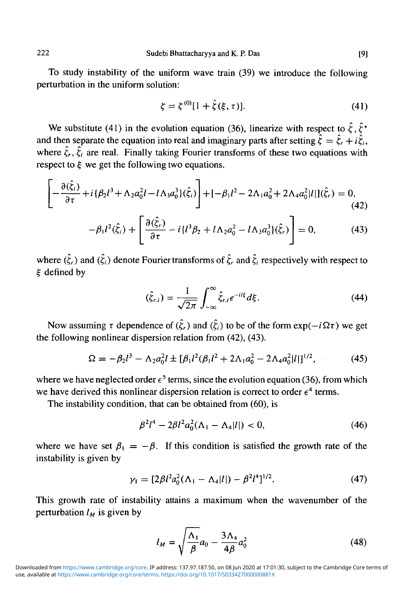To study instability of the uniform wave train (39) we introduce the following perturbation in the uniform solution:

$$
\zeta = \zeta^{(0)}[1 + \hat{\zeta}(\xi, \tau)].
$$
\n(41)

We substitute (41) in the evolution equation (36), linearize with respect to  $\hat{\zeta}$ ,  $\hat{\zeta}^*$ and then separate the equation into real and imaginary parts after setting  $\hat{\xi} = \hat{\xi}_r + i\hat{\xi}_i$ , where  $\hat{\zeta}_r$ ,  $\hat{\zeta}_i$  are real. Finally taking Fourier transforms of these two equations with respect to  $\xi$  we get the following two equations.

$$
\left[-\frac{\partial(\hat{\xi}_i)}{\partial \tau} + i \{\beta_2 l^3 + \Lambda_2 a_0^2 l - l \Lambda_3 a_0^3\}(\hat{\xi}_i)\right] + [-\beta_1 l^2 - 2\Lambda_1 a_0^2 + 2\Lambda_4 a_0^2 |l|](\hat{\xi}_r) = 0,
$$
\n(42)

$$
-\beta_1 l^2(\hat{\zeta}_i) + \left[\frac{\partial(\hat{\zeta}_r)}{\partial \tau} - i \{l^3 \beta_2 + l \Lambda_2 a_0^2 - l \Lambda_3 a_0^3\}(\hat{\zeta}_r)\right] = 0, \tag{43}
$$

where  $(\hat{\zeta}_r)$  and  $(\hat{\zeta}_i)$  denote Fourier transforms of  $\hat{\zeta}_r$  and  $\hat{\zeta}_i$  respectively with respect to § defined by

$$
(\hat{\xi}_{r,i}) = \frac{1}{\sqrt{2\pi}} \int_{-\infty}^{\infty} \hat{\xi}_{r,i} e^{-il\xi} d\xi.
$$
 (44)

Now assuming  $\tau$  dependence of  $(\hat{\zeta}_r)$  and  $(\hat{\zeta}_i)$  to be of the form  $\exp(-i\Omega\tau)$  we get the following nonlinear dispersion relation from (42), (43).

$$
\Omega = -\beta_2 l^3 - \Lambda_2 a_0^2 l \pm [\beta_1 l^2 (\beta_1 l^2 + 2\Lambda_1 a_0^2 - 2\Lambda_4 a_0^2 |l|]^{1/2},\tag{45}
$$

where we have neglected order  $\epsilon^5$  terms, since the evolution equation (36), from which we have derived this nonlinear dispersion relation is correct to order  $\epsilon^4$  terms.

The instability condition, that can be obtained from (60), is

$$
\beta^2 l^4 - 2\beta l^2 a_0^2 (\Lambda_1 - \Lambda_4 |l|) < 0,\tag{46}
$$

where we have set  $\beta_1 = -\beta$ . If this condition is satisfied the growth rate of the instability is given by

$$
\gamma_1 = [2\beta l^2 a_0^2 (\Lambda_1 - \Lambda_4 |l|) - \beta^2 l^4]^{1/2}.
$$
 (47)

This growth rate of instability attains a maximum when the wavenumber of the perturbation  $l_M$  is given by

$$
l_M = \sqrt{\frac{\Lambda_1}{\beta}} a_0 - \frac{3\Lambda_4}{4\beta} a_0^2 \tag{48}
$$

use, available at <https://www.cambridge.org/core/terms>.<https://doi.org/10.1017/S033427000000881X> Downloaded from [https://www.cambridge.org/core.](https://www.cambridge.org/core) IP address: 137.97.187.50, on 08 Jun 2020 at 17:01:30, subject to the Cambridge Core terms of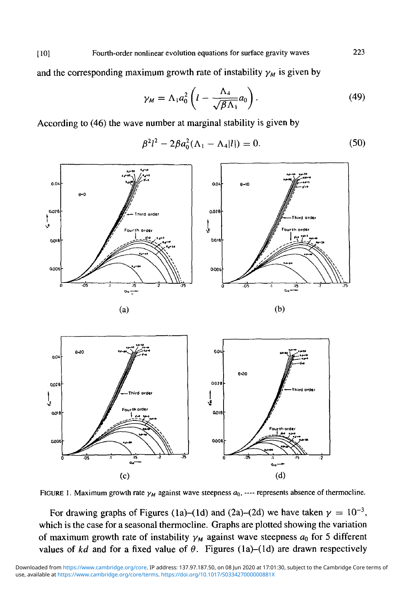[10] Fourth-order nonlinear evolution equations for surface gravity waves

and the corresponding maximum growth rate of instability  $\gamma_M$  is given by

$$
\gamma_M = \Lambda_1 a_0^2 \left( l - \frac{\Lambda_4}{\sqrt{\beta \Lambda_1}} a_0 \right). \tag{49}
$$

According to (46) the wave number at marginal stability is given by

$$
\beta^2 l^2 - 2\beta a_0^2 (\Lambda_1 - \Lambda_4 |l|) = 0. \tag{50}
$$





FIGURE 1. Maximum growth rate  $\gamma_M$  against wave steepness  $a_0$ , ---- represents absence of thermocline.

For drawing graphs of Figures (1a)–(1d) and (2a)–(2d) we have taken  $\gamma = 10^{-3}$ , which is the case for a seasonal thermocline. Graphs are plotted showing the variation of maximum growth rate of instability  $\gamma_M$  against wave steepness  $a_0$  for 5 different values of  $kd$  and for a fixed value of  $\theta$ . Figures (1a)-(1d) are drawn respectively

223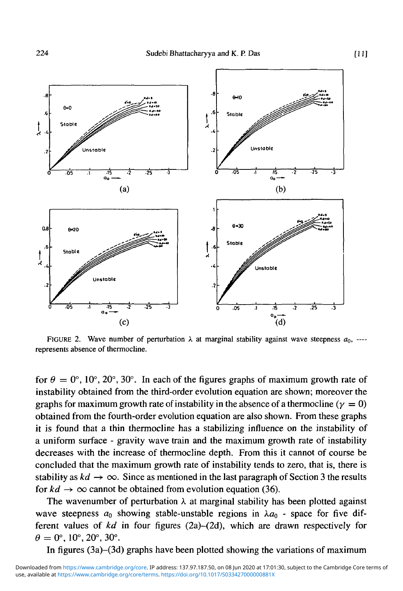

FIGURE 2. Wave number of perturbation  $\lambda$  at marginal stability against wave steepness  $a_0$ , ---represents absence of thermocline.

for  $\theta = 0^{\circ}$ , 10°, 20°, 30°. In each of the figures graphs of maximum growth rate of instability obtained from the third-order evolution equation are shown; moreover the graphs for maximum growth rate of instability in the absence of a thermocline  $(\gamma = 0)$ obtained from the fourth-order evolution equation are also shown. From these graphs it is found that a thin thermocline has a stabilizing influence on the instability of a uniform surface - gravity wave train and the maximum growth rate of instability decreases with the increase of thermocline depth. From this it cannot of course be concluded that the maximum growth rate of instability tends to zero, that is, there is stability as  $kd \rightarrow \infty$ . Since as mentioned in the last paragraph of Section 3 the results for  $kd \rightarrow \infty$  cannot be obtained from evolution equation (36).

The wavenumber of perturbation  $\lambda$  at marginal stability has been plotted against wave steepness  $a_0$  showing stable-unstable regions in  $\lambda a_0$  - space for five different values of *kd* in four figures (2a)-(2d), which are drawn respectively for  $\theta = 0^{\circ}, 10^{\circ}, 20^{\circ}, 30^{\circ}.$ 

In figures (3a)-(3d) graphs have been plotted showing the variations of maximum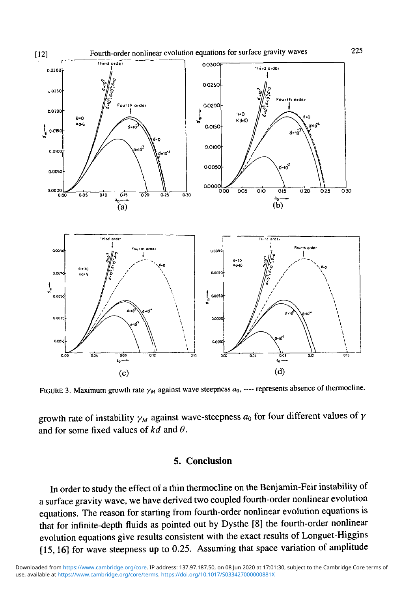

FIGURE 3. Maximum growth rate  $\gamma_M$  against wave steepness  $a_0$ , ---- represents absence of thermocline.

growth rate of instability  $\gamma_M$  against wave-steepness  $a_0$  for four different values of  $\gamma$ and for some fixed values of *kd* and *9.*

## *5.* **Conclusion**

In order to study the effect of a thin thermocline on the Benjamin-Feir instability of a surface gravity wave, we have derived two coupled fourth-order nonlinear evolution equations. The reason for starting from fourth-order nonlinear evolution equations is that for infinite-depth fluids as pointed out by Dysthe [8] the fourth-order nonlinear evolution equations give results consistent with the exact results of Longuet-Higgins [15,16] for wave steepness up to 0.25. Assuming that space variation of amplitude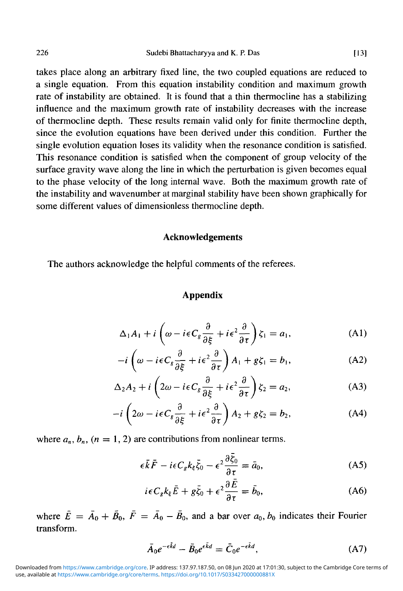takes place along an arbitrary fixed line, the two coupled equations are reduced to a single equation. From this equation instability condition and maximum growth rate of instability are obtained. It is found that a thin thermocline has a stabilizing influence and the maximum growth rate of instability decreases with the increase of thermocline depth. These results remain valid only for finite thermocline depth, since the evolution equations have been derived under this condition. Further the single evolution equation loses its validity when the resonance condition is satisfied. This resonance condition is satisfied when the component of group velocity of the surface gravity wave along the line in which the perturbation is given becomes equal to the phase velocity of the long internal wave. Both the maximum growth rate of the instability and wavenumber at marginal stability have been shown graphically for some different values of dimensionless thermocline depth.

#### **Acknowledgements**

The authors acknowledge the helpful comments of the referees.

### **Appendix**

$$
\Delta_1 A_1 + i \left( \omega - i\epsilon C_s \frac{\partial}{\partial \xi} + i\epsilon^2 \frac{\partial}{\partial \tau} \right) \zeta_1 = a_1, \tag{A1}
$$

$$
-i\left(\omega - i\epsilon C_s \frac{\partial}{\partial \xi} + i\epsilon^2 \frac{\partial}{\partial \tau}\right) A_1 + g\zeta_1 = b_1,
$$
 (A2)

$$
\Delta_2 A_2 + i \left( 2\omega - i\epsilon C_s \frac{\partial}{\partial \xi} + i\epsilon^2 \frac{\partial}{\partial \tau} \right) \zeta_2 = a_2,
$$
 (A3)

$$
-i\left(2\omega - i\epsilon C_g \frac{\partial}{\partial \xi} + i\epsilon^2 \frac{\partial}{\partial \tau}\right) A_2 + g\zeta_2 = b_2,\tag{A4}
$$

where  $a_n$ ,  $b_n$ ,  $(n = 1, 2)$  are contributions from nonlinear terms.

$$
\epsilon \bar{k} \bar{F} - i\epsilon C_g k_{\xi} \bar{\zeta}_0 - \epsilon^2 \frac{\partial \zeta_0}{\partial \tau} = \bar{a}_0, \tag{A5}
$$

$$
i\epsilon C_{g}k_{\xi}\bar{E}+g\bar{\zeta}_{0}+\epsilon^{2}\frac{\partial E}{\partial\tau}=\bar{b}_{0},
$$
 (A6)

where  $\bar{E} = \bar{A}_0 + \bar{B}_0$ ,  $\bar{F} = \bar{A}_0 - \bar{B}_0$ , and a bar over  $a_0$ ,  $b_0$  indicates their Fourier transform.

$$
\bar{A}_0 e^{-\epsilon \bar{k}d} - \bar{B}_0 e^{\epsilon \bar{k}d} = \bar{C}_0 e^{-\epsilon \bar{k}d},\tag{A7}
$$

use, available at <https://www.cambridge.org/core/terms>.<https://doi.org/10.1017/S033427000000881X> Downloaded from [https://www.cambridge.org/core.](https://www.cambridge.org/core) IP address: 137.97.187.50, on 08 Jun 2020 at 17:01:30, subject to the Cambridge Core terms of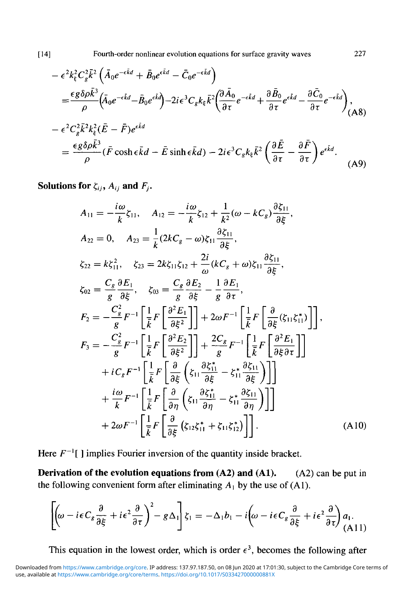[14] Fourth-order nonlinear evolution equations for surface gravity waves 227

$$
-\epsilon^{2}k_{\xi}^{2}C_{g}^{2}\bar{k}^{2}\left(\bar{A}_{0}e^{-\epsilon\bar{k}d}+\bar{B}_{0}e^{\epsilon\bar{k}d}-\bar{C}_{0}e^{-\epsilon\bar{k}d}\right)
$$
\n
$$
=\frac{\epsilon g\delta\rho\bar{k}^{3}}{\rho}\left(\bar{A}_{0}e^{-\epsilon\bar{k}d}-\bar{B}_{0}e^{\epsilon\bar{k}d}\right)-2i\epsilon^{3}C_{g}k_{\xi}\bar{k}^{2}\left(\frac{\partial\bar{A}_{0}}{\partial\tau}e^{-\epsilon\bar{k}d}+\frac{\partial\bar{B}_{0}}{\partial\tau}e^{\epsilon\bar{k}d}-\frac{\partial\bar{C}_{0}}{\partial\tau}e^{-\epsilon\bar{k}d}\right),
$$
\n
$$
-\epsilon^{2}C_{g}^{2}\bar{k}^{2}k_{\xi}^{2}(\bar{E}-\bar{F})e^{\epsilon\bar{k}d}
$$
\n
$$
=\frac{\epsilon g\delta\rho\bar{k}^{3}}{\rho}(\bar{F}\cosh\epsilon\bar{k}d-\bar{E}\sinh\epsilon\bar{k}d)-2i\epsilon^{3}C_{g}k_{\xi}\bar{k}^{2}\left(\frac{\partial\bar{E}}{\partial\tau}-\frac{\partial\bar{F}}{\partial\tau}\right)e^{\epsilon\bar{k}d}.
$$
\n(A9)

**Solutions for**  $\zeta_{ij}$ ,  $A_{ij}$  and  $F_j$ .

$$
A_{11} = -\frac{i\omega}{k}\zeta_{11}, \quad A_{12} = -\frac{i\omega}{k}\zeta_{12} + \frac{1}{k^2}(\omega - kC_g)\frac{\partial \zeta_{11}}{\partial \xi},
$$
  
\n
$$
A_{22} = 0, \quad A_{23} = \frac{1}{k}(2kC_g - \omega)\zeta_{11}\frac{\partial \zeta_{11}}{\partial \xi},
$$
  
\n
$$
\zeta_{22} = k\zeta_{11}^2, \quad \zeta_{23} = 2k\zeta_{11}\zeta_{12} + \frac{2i}{\omega}(kC_g + \omega)\zeta_{11}\frac{\partial \zeta_{11}}{\partial \xi},
$$
  
\n
$$
\zeta_{02} = \frac{C_g}{g}\frac{\partial E_1}{\partial \xi}, \quad \zeta_{03} = \frac{C_g}{g}\frac{\partial E_2}{\partial \xi} - \frac{1}{g}\frac{\partial E_1}{\partial \tau},
$$
  
\n
$$
F_2 = -\frac{C_g^2}{g}F^{-1}\left[\frac{1}{k}F\left[\frac{\partial^2 E_1}{\partial \xi^2}\right]\right] + 2\omega F^{-1}\left[\frac{1}{k}F\left[\frac{\partial}{\partial \xi}(\zeta_{11}\zeta_{11}^*)\right]\right],
$$
  
\n
$$
F_3 = -\frac{C_g^2}{g}F^{-1}\left[\frac{1}{k}F\left[\frac{\partial^2 E_2}{\partial \xi^2}\right]\right] + \frac{2C_g}{g}F^{-1}\left[\frac{1}{k}F\left[\frac{\partial^2 E_1}{\partial \xi\partial \tau}\right]\right]
$$
  
\n
$$
+ iC_gF^{-1}\left[\frac{1}{k}F\left[\frac{\partial}{\partial \xi}\left(\zeta_{11}\frac{\partial \zeta_{11}^*}{\partial \xi} - \zeta_{11}^*\frac{\partial \zeta_{11}}{\partial \xi}\right)\right]\right]
$$
  
\n
$$
+ \frac{i\omega}{k}F^{-1}\left[\frac{1}{k}F\left[\frac{\partial}{\partial \eta}\left(\zeta_{11}\frac{\partial \zeta_{11}^*}{\partial \eta} - \zeta_{11}^*\frac{\partial \zeta_{11}}{\partial \eta}\right)\right]
$$
  
\n
$$
+ 2
$$

Here  $F^{-1}$  ] implies Fourier inversion of the quantity inside bracket.

**Derivation of the evolution equations from (A2) and (A1).** (A2) can be put in the following convenient form after eliminating  $A_1$  by the use of (A1).

$$
\left[ \left( \omega - i\epsilon C_g \frac{\partial}{\partial \xi} + i\epsilon^2 \frac{\partial}{\partial \tau} \right)^2 - g\Delta_1 \right] \zeta_1 = -\Delta_1 b_1 - i \left( \omega - i\epsilon C_g \frac{\partial}{\partial \xi} + i\epsilon^2 \frac{\partial}{\partial \tau} \right) a_1.
$$
\n(A11)

This equation in the lowest order, which is order  $\epsilon^3$ , becomes the following after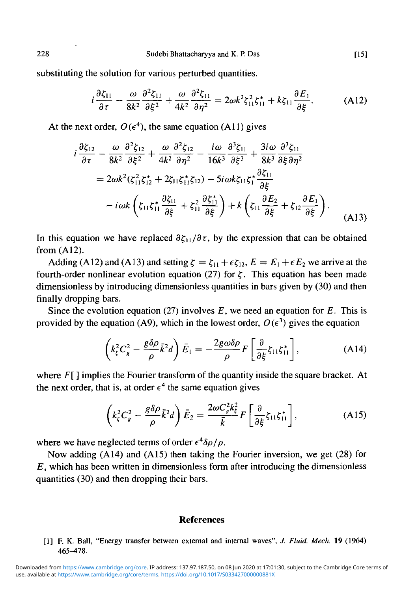substituting the solution for various perturbed quantities.

$$
i\frac{\partial \zeta_{11}}{\partial \tau} - \frac{\omega}{8k^2} \frac{\partial^2 \zeta_{11}}{\partial \xi^2} + \frac{\omega}{4k^2} \frac{\partial^2 \zeta_{11}}{\partial \eta^2} = 2\omega k^2 \zeta_{11}^2 \zeta_{11}^* + k \zeta_{11} \frac{\partial E_1}{\partial \xi}.
$$
 (A12)

At the next order,  $O(\epsilon^4)$ , the same equation (A11) gives

$$
i\frac{\partial \zeta_{12}}{\partial \tau} - \frac{\omega}{8k^2} \frac{\partial^2 \zeta_{12}}{\partial \xi^2} + \frac{\omega}{4k^2} \frac{\partial^2 \zeta_{12}}{\partial \eta^2} - \frac{i\omega}{16k^3} \frac{\partial^3 \zeta_{11}}{\partial \xi^3} + \frac{3i\omega}{8k^3} \frac{\partial^3 \zeta_{11}}{\partial \xi \partial \eta^2}
$$
  
=  $2\omega k^2 (\zeta_{11}^2 \zeta_{12}^* + 2\zeta_{11} \zeta_{11}^* \zeta_{12}) - 5i\omega k \zeta_{11} \zeta_1^* \frac{\partial \zeta_{11}}{\partial \xi}$   

$$
-i\omega k \left( \zeta_{11} \zeta_{11}^* \frac{\partial \zeta_{11}}{\partial \xi} + \zeta_{11}^2 \frac{\partial \zeta_{11}^*}{\partial \xi} \right) + k \left( \zeta_{11} \frac{\partial E_2}{\partial \xi} + \zeta_{12} \frac{\partial E_1}{\partial \xi} \right).
$$
(A13)

In this equation we have replaced  $\partial \zeta_{11}/\partial \tau$ , by the expression that can be obtained from  $(A12)$ .

Adding (A12) and (A13) and setting  $\zeta = \zeta_{11} + \epsilon \zeta_{12}$ ,  $E = E_1 + \epsilon E_2$  we arrive at the fourth-order nonlinear evolution equation (27) for  $\zeta$ . This equation has been made dimensionless by introducing dimensionless quantities in bars given by (30) and then finally dropping bars.

Since the evolution equation (27) involves *E,* we need an equation for *E.* This is provided by the equation (A9), which in the lowest order,  $O(\epsilon^3)$  gives the equation

$$
\left(k_{\zeta}^{2}C_{g}^{2}-\frac{g\delta\rho}{\rho}\bar{k}^{2}d\right)\bar{E}_{1}=-\frac{2g\omega\delta\rho}{\rho}F\left[\frac{\partial}{\partial\xi}\zeta_{11}\zeta_{11}^{*}\right],\tag{A14}
$$

where *F*[] implies the Fourier transform of the quantity inside the square bracket. At the next order, that is, at order  $\epsilon^4$  the same equation gives

$$
\left(k_{\xi}^{2}C_{g}^{2}-\frac{g\delta\rho}{\rho}\bar{k}^{2}d\right)\bar{E}_{2}=\frac{2\omega C_{g}^{2}k_{\xi}^{2}}{\bar{k}}F\left[\frac{\partial}{\partial\xi}\zeta_{11}\zeta_{11}^{*}\right],\tag{A15}
$$

where we have neglected terms of order  $\epsilon^4 \delta \rho / \rho$ .

Now adding (A 14) and (A 15) then taking the Fourier inversion, we get (28) for *E,* which has been written in dimensionless form after introducing the dimensionless quantities (30) and then dropping their bars.

### **References**

[1] F. K. Ball, "Energy transfer between external and internal waves", *J. Fluid. Mech.* 19 (1964) 465-478.